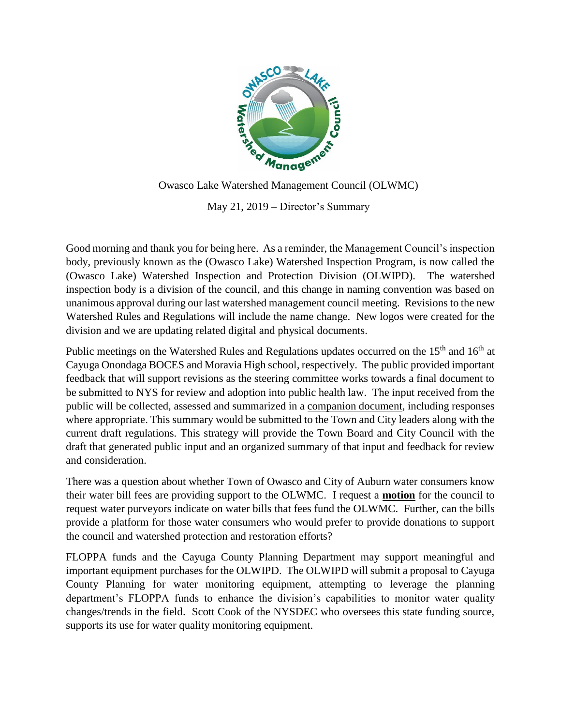

May 21, 2019 – Director's Summary

Good morning and thank you for being here. As a reminder, the Management Council's inspection body, previously known as the (Owasco Lake) Watershed Inspection Program, is now called the (Owasco Lake) Watershed Inspection and Protection Division (OLWIPD). The watershed inspection body is a division of the council, and this change in naming convention was based on unanimous approval during our last watershed management council meeting. Revisions to the new Watershed Rules and Regulations will include the name change. New logos were created for the division and we are updating related digital and physical documents.

Public meetings on the Watershed Rules and Regulations updates occurred on the 15<sup>th</sup> and 16<sup>th</sup> at Cayuga Onondaga BOCES and Moravia High school, respectively. The public provided important feedback that will support revisions as the steering committee works towards a final document to be submitted to NYS for review and adoption into public health law. The input received from the public will be collected, assessed and summarized in a companion document, including responses where appropriate. This summary would be submitted to the Town and City leaders along with the current draft regulations. This strategy will provide the Town Board and City Council with the draft that generated public input and an organized summary of that input and feedback for review and consideration.

There was a question about whether Town of Owasco and City of Auburn water consumers know their water bill fees are providing support to the OLWMC. I request a **motion** for the council to request water purveyors indicate on water bills that fees fund the OLWMC. Further, can the bills provide a platform for those water consumers who would prefer to provide donations to support the council and watershed protection and restoration efforts?

FLOPPA funds and the Cayuga County Planning Department may support meaningful and important equipment purchases for the OLWIPD. The OLWIPD will submit a proposal to Cayuga County Planning for water monitoring equipment, attempting to leverage the planning department's FLOPPA funds to enhance the division's capabilities to monitor water quality changes/trends in the field. Scott Cook of the NYSDEC who oversees this state funding source, supports its use for water quality monitoring equipment.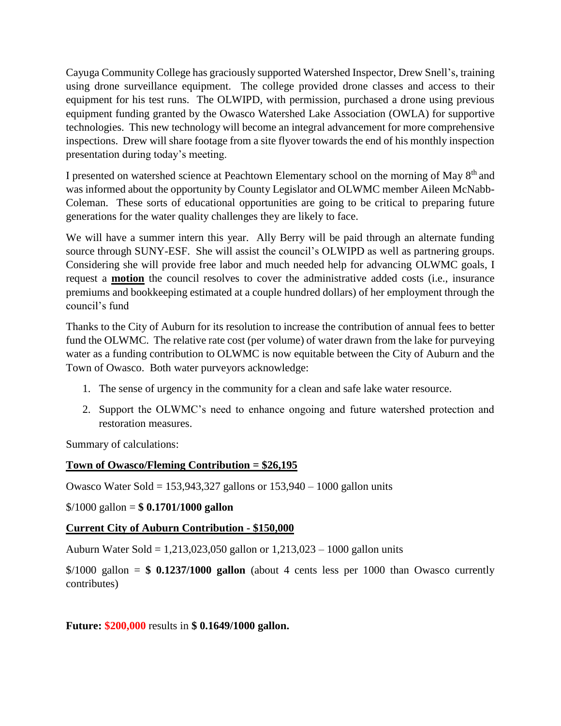Cayuga Community College has graciously supported Watershed Inspector, Drew Snell's, training using drone surveillance equipment. The college provided drone classes and access to their equipment for his test runs. The OLWIPD, with permission, purchased a drone using previous equipment funding granted by the Owasco Watershed Lake Association (OWLA) for supportive technologies. This new technology will become an integral advancement for more comprehensive inspections. Drew will share footage from a site flyover towards the end of his monthly inspection presentation during today's meeting.

I presented on watershed science at Peachtown Elementary school on the morning of May 8<sup>th</sup> and was informed about the opportunity by County Legislator and OLWMC member Aileen McNabb-Coleman. These sorts of educational opportunities are going to be critical to preparing future generations for the water quality challenges they are likely to face.

We will have a summer intern this year. Ally Berry will be paid through an alternate funding source through SUNY-ESF. She will assist the council's OLWIPD as well as partnering groups. Considering she will provide free labor and much needed help for advancing OLWMC goals, I request a **motion** the council resolves to cover the administrative added costs (i.e., insurance premiums and bookkeeping estimated at a couple hundred dollars) of her employment through the council's fund

Thanks to the City of Auburn for its resolution to increase the contribution of annual fees to better fund the OLWMC. The relative rate cost (per volume) of water drawn from the lake for purveying water as a funding contribution to OLWMC is now equitable between the City of Auburn and the Town of Owasco. Both water purveyors acknowledge:

- 1. The sense of urgency in the community for a clean and safe lake water resource.
- 2. Support the OLWMC's need to enhance ongoing and future watershed protection and restoration measures.

Summary of calculations:

## **Town of Owasco/Fleming Contribution = \$26,195**

Owasco Water Sold =  $153,943,327$  gallons or  $153,940 - 1000$  gallon units

\$/1000 gallon = **\$ 0.1701/1000 gallon**

## **Current City of Auburn Contribution - \$150,000**

Auburn Water Sold = 1,213,023,050 gallon or 1,213,023 – 1000 gallon units

 $\frac{$}{1000}$  gallon =  $\frac{$}{0.1237/1000}$  gallon (about 4 cents less per 1000 than Owasco currently contributes)

**Future: \$200,000** results in **\$ 0.1649/1000 gallon.**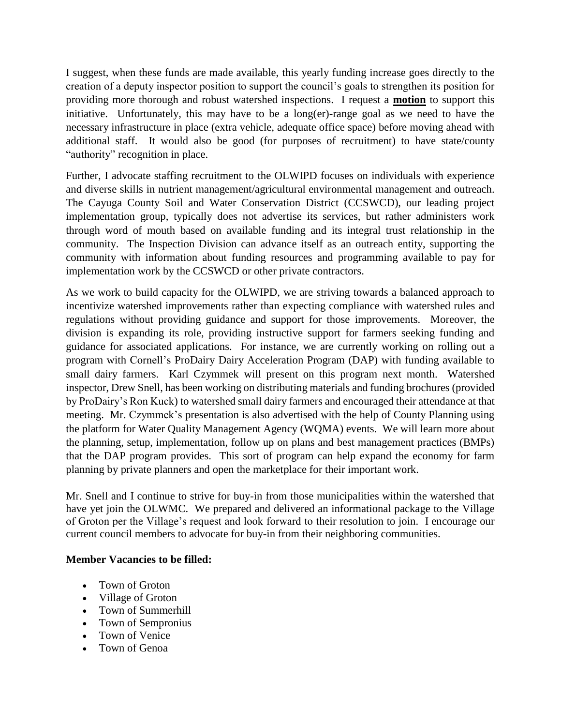I suggest, when these funds are made available, this yearly funding increase goes directly to the creation of a deputy inspector position to support the council's goals to strengthen its position for providing more thorough and robust watershed inspections. I request a **motion** to support this initiative. Unfortunately, this may have to be a long(er)-range goal as we need to have the necessary infrastructure in place (extra vehicle, adequate office space) before moving ahead with additional staff. It would also be good (for purposes of recruitment) to have state/county "authority" recognition in place.

Further, I advocate staffing recruitment to the OLWIPD focuses on individuals with experience and diverse skills in nutrient management/agricultural environmental management and outreach. The Cayuga County Soil and Water Conservation District (CCSWCD), our leading project implementation group, typically does not advertise its services, but rather administers work through word of mouth based on available funding and its integral trust relationship in the community. The Inspection Division can advance itself as an outreach entity, supporting the community with information about funding resources and programming available to pay for implementation work by the CCSWCD or other private contractors.

As we work to build capacity for the OLWIPD, we are striving towards a balanced approach to incentivize watershed improvements rather than expecting compliance with watershed rules and regulations without providing guidance and support for those improvements. Moreover, the division is expanding its role, providing instructive support for farmers seeking funding and guidance for associated applications. For instance, we are currently working on rolling out a program with Cornell's ProDairy Dairy Acceleration Program (DAP) with funding available to small dairy farmers. Karl Czymmek will present on this program next month. Watershed inspector, Drew Snell, has been working on distributing materials and funding brochures (provided by ProDairy's Ron Kuck) to watershed small dairy farmers and encouraged their attendance at that meeting. Mr. Czymmek's presentation is also advertised with the help of County Planning using the platform for Water Quality Management Agency (WQMA) events. We will learn more about the planning, setup, implementation, follow up on plans and best management practices (BMPs) that the DAP program provides. This sort of program can help expand the economy for farm planning by private planners and open the marketplace for their important work.

Mr. Snell and I continue to strive for buy-in from those municipalities within the watershed that have yet join the OLWMC. We prepared and delivered an informational package to the Village of Groton per the Village's request and look forward to their resolution to join. I encourage our current council members to advocate for buy-in from their neighboring communities.

## **Member Vacancies to be filled:**

- Town of Groton
- Village of Groton
- Town of Summerhill
- Town of Sempronius
- Town of Venice
- Town of Genoa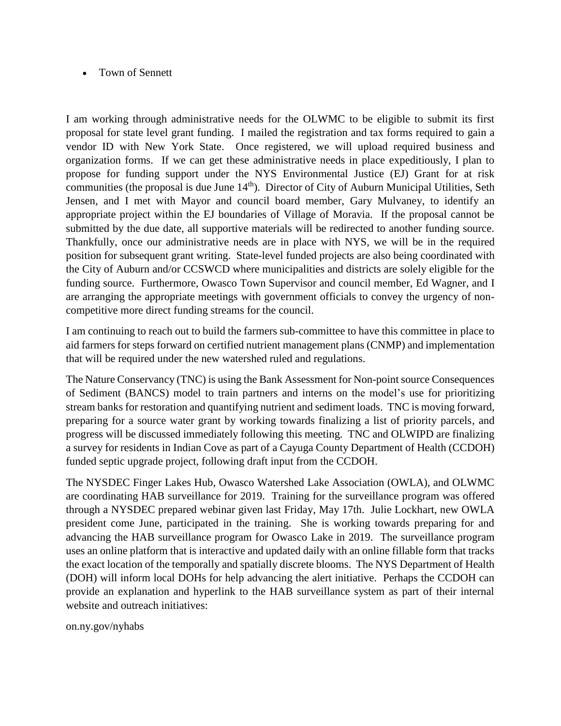## • Town of Sennett

I am working through administrative needs for the OLWMC to be eligible to submit its first proposal for state level grant funding. I mailed the registration and tax forms required to gain a vendor ID with New York State. Once registered, we will upload required business and organization forms. If we can get these administrative needs in place expeditiously, I plan to propose for funding support under the NYS Environmental Justice (EJ) Grant for at risk communities (the proposal is due June  $14<sup>th</sup>$ ). Director of City of Auburn Municipal Utilities, Seth Jensen, and I met with Mayor and council board member, Gary Mulvaney, to identify an appropriate project within the EJ boundaries of Village of Moravia. If the proposal cannot be submitted by the due date, all supportive materials will be redirected to another funding source. Thankfully, once our administrative needs are in place with NYS, we will be in the required position for subsequent grant writing. State-level funded projects are also being coordinated with the City of Auburn and/or CCSWCD where municipalities and districts are solely eligible for the funding source. Furthermore, Owasco Town Supervisor and council member, Ed Wagner, and I are arranging the appropriate meetings with government officials to convey the urgency of noncompetitive more direct funding streams for the council.

I am continuing to reach out to build the farmers sub-committee to have this committee in place to aid farmers for steps forward on certified nutrient management plans (CNMP) and implementation that will be required under the new watershed ruled and regulations.

The Nature Conservancy (TNC) is using the Bank Assessment for Non-point source Consequences of Sediment (BANCS) model to train partners and interns on the model's use for prioritizing stream banks for restoration and quantifying nutrient and sediment loads. TNC is moving forward, preparing for a source water grant by working towards finalizing a list of priority parcels, and progress will be discussed immediately following this meeting. TNC and OLWIPD are finalizing a survey for residents in Indian Cove as part of a Cayuga County Department of Health (CCDOH) funded septic upgrade project, following draft input from the CCDOH.

The NYSDEC Finger Lakes Hub, Owasco Watershed Lake Association (OWLA), and OLWMC are coordinating HAB surveillance for 2019. Training for the surveillance program was offered through a NYSDEC prepared webinar given last Friday, May 17th. Julie Lockhart, new OWLA president come June, participated in the training. She is working towards preparing for and advancing the HAB surveillance program for Owasco Lake in 2019. The surveillance program uses an online platform that is interactive and updated daily with an online fillable form that tracks the exact location of the temporally and spatially discrete blooms. The NYS Department of Health (DOH) will inform local DOHs for help advancing the alert initiative. Perhaps the CCDOH can provide an explanation and hyperlink to the HAB surveillance system as part of their internal website and outreach initiatives:

on.ny.gov/nyhabs